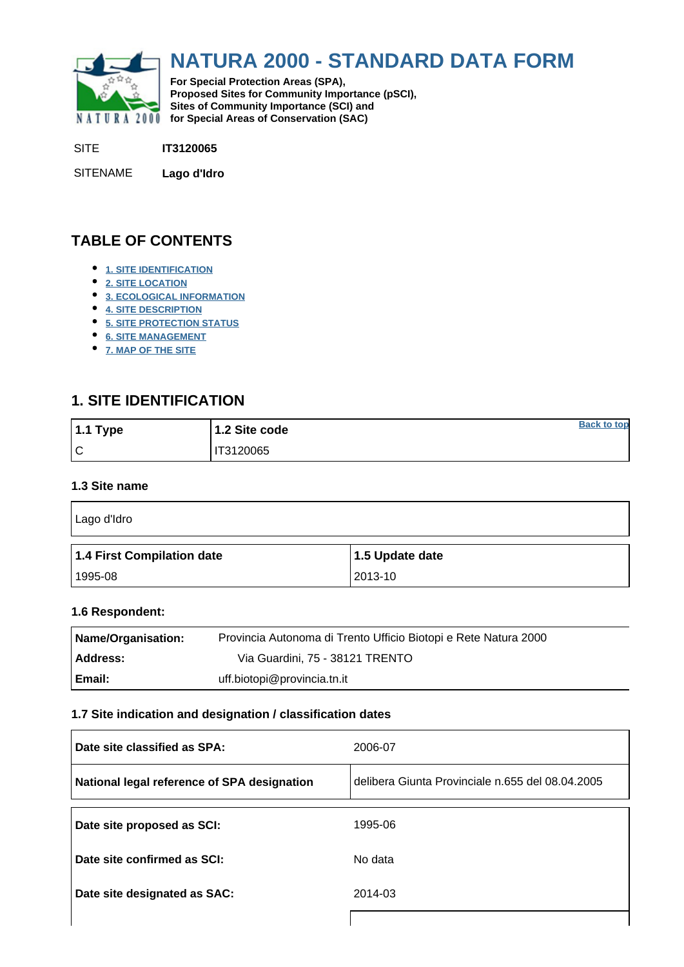<span id="page-0-0"></span>

# **NATURA 2000 - STANDARD DATA FORM**

**For Special Protection Areas (SPA), Proposed Sites for Community Importance (pSCI), Sites of Community Importance (SCI) and NATURA 2000** for Special Areas of Conservation (SAC)

SITE **IT3120065**

SITENAME **Lago d'Idro**

# **TABLE OF CONTENTS**

- **[1. SITE IDENTIFICATION](#page-0-1)**
- **[2. SITE LOCATION](#page-1-0)**
- **[3. ECOLOGICAL INFORMATION](#page-1-1)**
- **[4. SITE DESCRIPTION](#page-5-0)**
- **[5. SITE PROTECTION STATUS](#page-5-1)**
- **[6. SITE MANAGEMENT](#page-6-0)**
- **[7. MAP OF THE SITE](#page-6-1)**

# <span id="page-0-1"></span>**1. SITE IDENTIFICATION**

| $1.1$ Type | 1.2 Site code | <b>Back to top</b> |
|------------|---------------|--------------------|
| ١c         | IT3120065     |                    |

#### **1.3 Site name**

| Lago d'Idro                |                 |
|----------------------------|-----------------|
| 1.4 First Compilation date | 1.5 Update date |
|                            |                 |

#### **1.6 Respondent:**

| Name/Organisation: | Provincia Autonoma di Trento Ufficio Biotopi e Rete Natura 2000 |
|--------------------|-----------------------------------------------------------------|
| <b>Address:</b>    | Via Guardini, 75 - 38121 TRENTO                                 |
| Email:             | uff.biotopi@provincia.tn.it                                     |

#### **1.7 Site indication and designation / classification dates**

| Date site classified as SPA:                | 2006-07                                          |
|---------------------------------------------|--------------------------------------------------|
| National legal reference of SPA designation | delibera Giunta Provinciale n.655 del 08.04.2005 |
| Date site proposed as SCI:                  | 1995-06                                          |
| Date site confirmed as SCI:                 | No data                                          |
| Date site designated as SAC:                | 2014-03                                          |
|                                             |                                                  |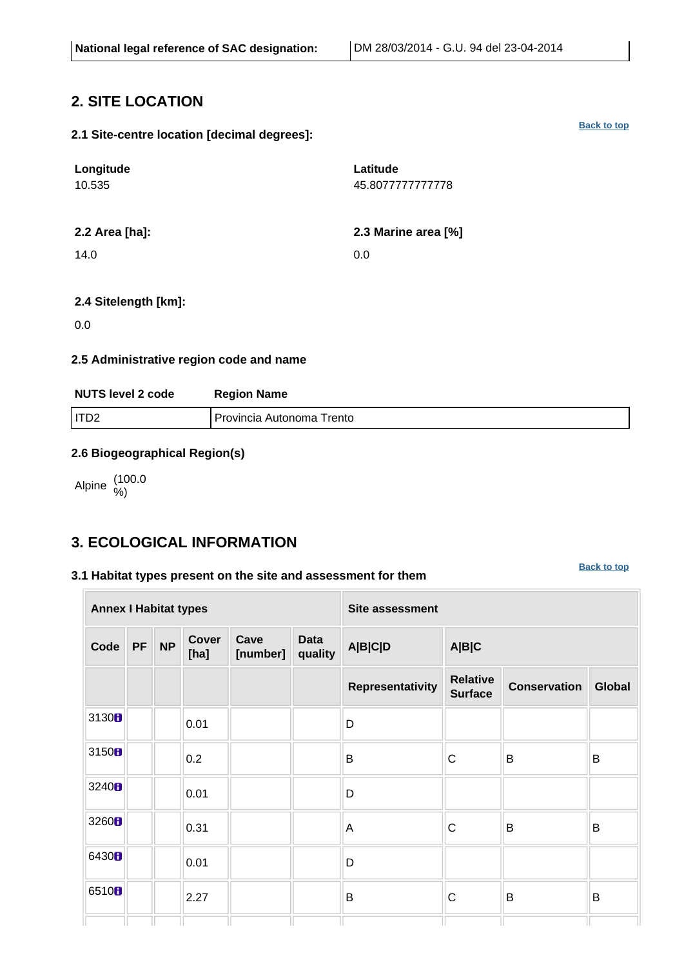# <span id="page-1-0"></span>**2. SITE LOCATION**

#### **2.1 Site-centre location [decimal degrees]:**

| Longitude<br>10.535 | Latitude<br>45.8077777777778 |
|---------------------|------------------------------|
| 2.2 Area [ha]:      | 2.3 Marine area [%]          |
| 14.0                | 0.0                          |

#### **2.4 Sitelength [km]:**

0.0

#### **2.5 Administrative region code and name**

| <b>NUTS level 2 code</b> | <b>Region Name</b>        |
|--------------------------|---------------------------|
| I ITD2                   | Provincia Autonoma Trento |

#### **2.6 Biogeographical Region(s)**

Alpine (100.0 %)

## <span id="page-1-1"></span>**3. ECOLOGICAL INFORMATION**

#### **3.1 Habitat types present on the site and assessment for them**

**[Back to top](#page-0-0)**

| <b>Annex I Habitat types</b> |           |           |                      |                  |                        | <b>Site assessment</b> |                                   |                     |        |  |  |  |  |
|------------------------------|-----------|-----------|----------------------|------------------|------------------------|------------------------|-----------------------------------|---------------------|--------|--|--|--|--|
| Code                         | <b>PF</b> | <b>NP</b> | <b>Cover</b><br>[ha] | Cave<br>[number] | <b>Data</b><br>quality | <b>A B C D</b>         | A B C                             |                     |        |  |  |  |  |
|                              |           |           |                      |                  |                        | Representativity       | <b>Relative</b><br><b>Surface</b> | <b>Conservation</b> | Global |  |  |  |  |
| 3130 <b>B</b>                |           |           | 0.01                 |                  |                        | D                      |                                   |                     |        |  |  |  |  |
| 3150 <sub>B</sub>            |           |           | 0.2                  |                  |                        | B                      | $\mathsf{C}$                      | B                   | B      |  |  |  |  |
| 3240H                        |           |           | 0.01                 |                  |                        | D                      |                                   |                     |        |  |  |  |  |
| 3260 <sub>B</sub>            |           |           | 0.31                 |                  |                        | A                      | $\mathsf C$                       | B                   | B      |  |  |  |  |
| 6430 <sub>B</sub>            |           |           | 0.01                 |                  |                        | D                      |                                   |                     |        |  |  |  |  |
| 6510 <sub>B</sub>            |           |           | 2.27                 |                  |                        | B                      | $\mathsf{C}$                      | B                   | B      |  |  |  |  |
|                              |           |           |                      |                  |                        |                        |                                   |                     |        |  |  |  |  |

#### **[Back to top](#page-0-0)**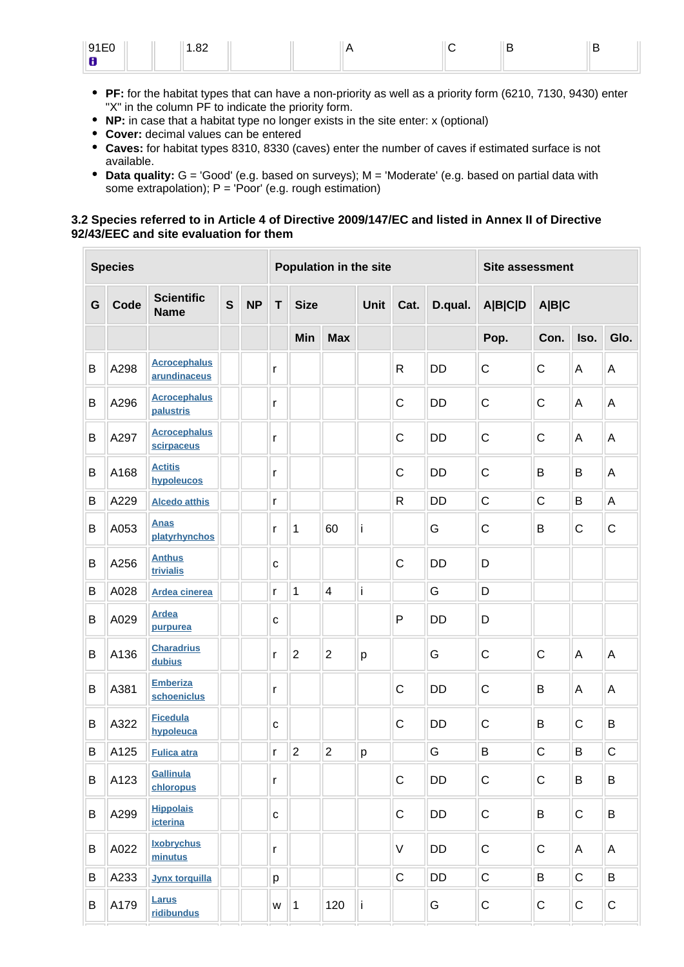| Q1E0<br>$\cup$ . $\cup$ | ൦<br>$\overline{\phantom{a}}$<br>ےں. ו |  |  |  |
|-------------------------|----------------------------------------|--|--|--|
| Œ<br>$\sim$             |                                        |  |  |  |

- **PF:** for the habitat types that can have a non-priority as well as a priority form (6210, 7130, 9430) enter "X" in the column PF to indicate the priority form.
- **NP:** in case that a habitat type no longer exists in the site enter: x (optional)
- **Cover:** decimal values can be entered
- **Caves:** for habitat types 8310, 8330 (caves) enter the number of caves if estimated surface is not available.
- **Data quality:** G = 'Good' (e.g. based on surveys); M = 'Moderate' (e.g. based on partial data with some extrapolation);  $P = 'Poor'$  (e.g. rough estimation)

#### **3.2 Species referred to in Article 4 of Directive 2009/147/EC and listed in Annex II of Directive 92/43/EEC and site evaluation for them**

|   | <b>Species</b> |                                     |   |           |              |                |                         | Population in the site |                 | <b>Site assessment</b> |                  |              |              |              |  |
|---|----------------|-------------------------------------|---|-----------|--------------|----------------|-------------------------|------------------------|-----------------|------------------------|------------------|--------------|--------------|--------------|--|
| G | Code           | <b>Scientific</b><br><b>Name</b>    | S | <b>NP</b> | T            | <b>Size</b>    |                         | Unit                   | D.qual.<br>Cat. |                        | A B C D<br>A B C |              |              |              |  |
|   |                |                                     |   |           |              | Min            | <b>Max</b>              |                        |                 |                        | Pop.             | Con.         | Iso.         | Glo.         |  |
| B | A298           | <b>Acrocephalus</b><br>arundinaceus |   |           | r            |                |                         |                        | $\mathsf{R}$    | <b>DD</b>              | $\mathsf{C}$     | $\mathsf{C}$ | A            | Α            |  |
| В | A296           | <b>Acrocephalus</b><br>palustris    |   |           | r            |                |                         |                        | $\mathsf C$     | <b>DD</b>              | $\mathsf C$      | C            | A            | A            |  |
| B | A297           | <b>Acrocephalus</b><br>scirpaceus   |   |           | r            |                |                         |                        | $\mathsf{C}$    | <b>DD</b>              | $\mathsf{C}$     | $\mathsf{C}$ | Α            | Α            |  |
| B | A168           | <b>Actitis</b><br>hypoleucos        |   |           | r            |                |                         |                        | $\mathsf C$     | <b>DD</b>              | $\mathsf{C}$     | B            | B            | A            |  |
| B | A229           | <b>Alcedo atthis</b>                |   |           | r            |                |                         |                        | $\mathsf{R}$    | <b>DD</b>              | $\mathsf C$      | $\mathsf{C}$ | B            | A            |  |
| B | A053           | <b>Anas</b><br>platyrhynchos        |   |           | r            | 60<br>1        |                         | i                      |                 | G                      | C                | B            | C            | $\mathsf C$  |  |
| B | A256           | <b>Anthus</b><br>trivialis          |   |           | С            |                |                         |                        | $\mathsf C$     | <b>DD</b>              | D                |              |              |              |  |
| B | A028           | <b>Ardea cinerea</b>                |   |           | r            | 1              | $\overline{\mathbf{4}}$ | İ                      |                 | G                      | D                |              |              |              |  |
| B | A029           | <b>Ardea</b><br>purpurea            |   |           | C            |                |                         |                        | P               | <b>DD</b>              | D                |              |              |              |  |
| B | A136           | <b>Charadrius</b><br>dubius         |   |           | r            | $\overline{2}$ | $\overline{2}$          | p                      |                 | G                      | C                | $\mathsf{C}$ | A            | A            |  |
| B | A381           | <b>Emberiza</b><br>schoeniclus      |   |           | r            |                |                         |                        | C               | <b>DD</b>              | $\mathsf C$      | B            | A            | Α            |  |
| B | A322           | <b>Ficedula</b><br>hypoleuca        |   |           | C            |                |                         |                        | $\mathsf C$     | <b>DD</b>              | $\mathsf{C}$     | B            | $\mathsf{C}$ | B            |  |
| B | A125           | <b>Fulica atra</b>                  |   |           | r            | $\overline{2}$ | $\overline{2}$          | p                      |                 | G                      | B                | $\mathsf{C}$ | B            | $\mathsf{C}$ |  |
| B | A123           | Gallinula<br>chloropus              |   |           | r            |                |                         |                        | $\mathsf C$     | DD                     | $\mathsf C$      | $\mathsf C$  | B            | B            |  |
| B | A299           | <b>Hippolais</b><br>icterina        |   |           | $\mathtt{C}$ |                |                         |                        | $\mathsf C$     | DD                     | ${\bf C}$        | B            | $\mathbf C$  | B            |  |
| B | A022           | <b>Ixobrychus</b><br>minutus        |   |           | r            |                |                         |                        | $\mathsf V$     | DD                     | $\mathsf C$      | $\mathsf C$  | Α            | Α            |  |
| B | A233           | <b>Jynx torquilla</b>               |   |           | p            |                |                         |                        | $\mathsf C$     | DD                     | $\mathsf C$      | B            | $\mathsf C$  | B            |  |
| B | A179           | Larus<br>ridibundus                 |   |           | W            | $\vert$ 1      | 120                     | li.                    |                 | G                      | $\mathsf C$      | C            | $\mathsf C$  | C            |  |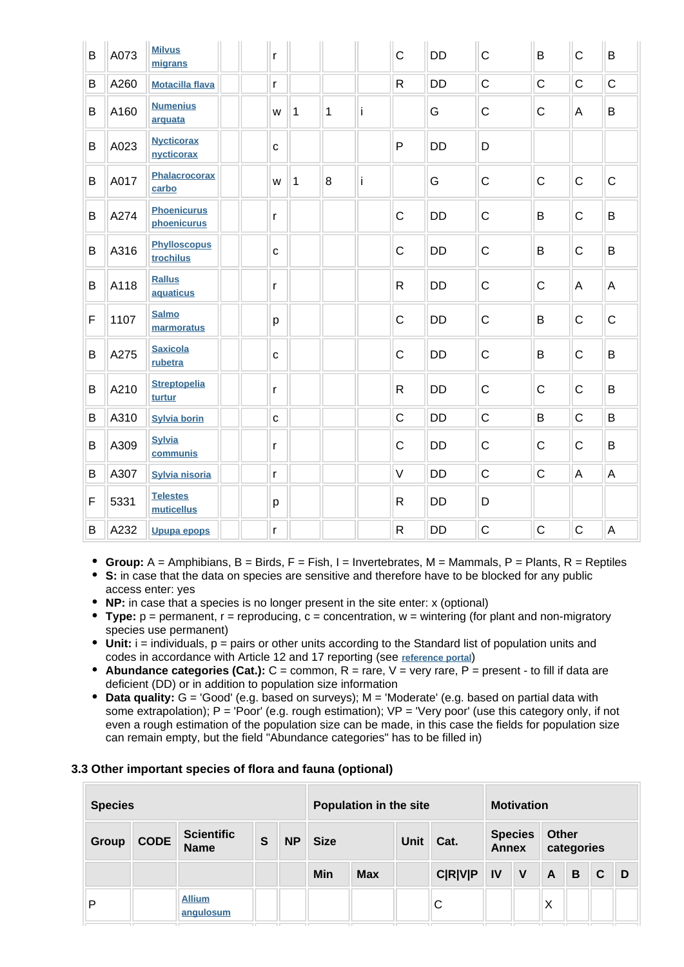| B | A073 | <b>Milvus</b><br>migrans          | r            |           |   |   | $\mathsf{C}$ | <b>DD</b> | $\mathsf{C}$ | B            | $\mathsf{C}$ | B              |
|---|------|-----------------------------------|--------------|-----------|---|---|--------------|-----------|--------------|--------------|--------------|----------------|
| B | A260 | <b>Motacilla flava</b>            | r            |           |   |   | $\mathsf{R}$ | <b>DD</b> | $\mathsf C$  | $\mathsf{C}$ | $\mathsf{C}$ | $\mathsf C$    |
| B | A160 | <b>Numenius</b><br>arquata        | W            | $\vert$ 1 | 1 | İ |              | G         | $\mathsf C$  | $\mathsf C$  | A            | $\sf B$        |
| B | A023 | <b>Nycticorax</b><br>nycticorax   | $\mathbf{C}$ |           |   |   | $\mathsf{P}$ | <b>DD</b> | D            |              |              |                |
| B | A017 | Phalacrocorax<br>carbo            | W            | 1         | 8 | İ |              | G         | $\mathsf{C}$ | $\mathsf{C}$ | $\mathsf{C}$ | $\mathsf{C}$   |
| B | A274 | <b>Phoenicurus</b><br>phoenicurus | r            |           |   |   | $\mathsf C$  | <b>DD</b> | $\mathsf C$  | B            | $\mathsf C$  | B              |
| B | A316 | <b>Phylloscopus</b><br>trochilus  | $\mathbf{C}$ |           |   |   | $\mathsf C$  | <b>DD</b> | $\mathsf C$  | B            | $\mathsf C$  | B              |
| B | A118 | <b>Rallus</b><br>aquaticus        | r            |           |   |   | $\mathsf{R}$ | DD        | $\mathsf C$  | $\mathsf{C}$ | A            | $\overline{A}$ |
| F | 1107 | <b>Salmo</b><br>marmoratus        | р            |           |   |   | $\mathsf C$  | <b>DD</b> | $\mathsf C$  | B            | $\mathsf C$  | $\mathsf C$    |
| B | A275 | <b>Saxicola</b><br>rubetra        | $\mathbf{C}$ |           |   |   | $\mathsf C$  | <b>DD</b> | $\mathsf C$  | B            | $\mathsf C$  | B              |
| B | A210 | <b>Streptopelia</b><br>turtur     | r            |           |   |   | ${\sf R}$    | <b>DD</b> | $\mathsf{C}$ | $\mathsf{C}$ | $\mathsf C$  | B              |
| B | A310 | <b>Sylvia borin</b>               | $\mathbf{C}$ |           |   |   | $\mathsf C$  | <b>DD</b> | $\mathsf C$  | B            | $\mathsf C$  | $\sf B$        |
| B | A309 | <b>Sylvia</b><br>communis         | r            |           |   |   | $\mathsf C$  | <b>DD</b> | $\mathsf C$  | $\mathsf C$  | C            | B              |
| B | A307 | <b>Sylvia nisoria</b>             | r            |           |   |   | $\vee$       | <b>DD</b> | $\mathsf C$  | $\mathsf C$  | A            | $\mathsf A$    |
| F | 5331 | <b>Telestes</b><br>muticellus     | р            |           |   |   | $\mathsf{R}$ | <b>DD</b> | D            |              |              |                |
| B | A232 | <b>Upupa epops</b>                | r            |           |   |   | $\mathsf R$  | <b>DD</b> | $\mathsf C$  | $\mathsf C$  | $\mathsf C$  | $\overline{A}$ |

- **Group:** A = Amphibians, B = Birds, F = Fish, I = Invertebrates, M = Mammals, P = Plants, R = Reptiles
- **S:** in case that the data on species are sensitive and therefore have to be blocked for any public access enter: yes
- **NP:** in case that a species is no longer present in the site enter: x (optional)
- Type:  $p =$  permanent,  $r =$  reproducing,  $c =$  concentration,  $w =$  wintering (for plant and non-migratory species use permanent)
- Unit: i = individuals, p = pairs or other units according to the Standard list of population units and codes in accordance with Article 12 and 17 reporting (see **[reference portal](http://bd.eionet.europa.eu/activities/Natura_2000/reference_portal)**)
- **Abundance categories (Cat.):** C = common, R = rare, V = very rare, P = present to fill if data are deficient (DD) or in addition to population size information
- **Data quality:** G = 'Good' (e.g. based on surveys); M = 'Moderate' (e.g. based on partial data with some extrapolation);  $P = 'Poor'$  (e.g. rough estimation);  $VP = 'Very$  poor' (use this category only, if not even a rough estimation of the population size can be made, in this case the fields for population size can remain empty, but the field "Abundance categories" has to be filled in)

#### **3.3 Other important species of flora and fauna (optional)**

| <b>Species</b> |             |                                  |   |           | Population in the site |            |             |                |                                | <b>Motivation</b> |                            |   |       |   |  |
|----------------|-------------|----------------------------------|---|-----------|------------------------|------------|-------------|----------------|--------------------------------|-------------------|----------------------------|---|-------|---|--|
| Group          | <b>CODE</b> | <b>Scientific</b><br><b>Name</b> | S | <b>NP</b> | <b>Size</b>            |            | <b>Unit</b> | Cat.           | <b>Species</b><br><b>Annex</b> |                   | <b>Other</b><br>categories |   |       |   |  |
|                |             |                                  |   |           | Min                    | <b>Max</b> |             | <b>C R V P</b> | IV                             | V                 | $\mathbf{A}$               | B | C     | D |  |
| P              |             | <b>Allium</b><br>angulosum       |   | ıг        | 71 E                   | 1 F        | 1 F         | C<br>пr        | ıπ                             |                   | X<br>71 E                  |   | 71 IT |   |  |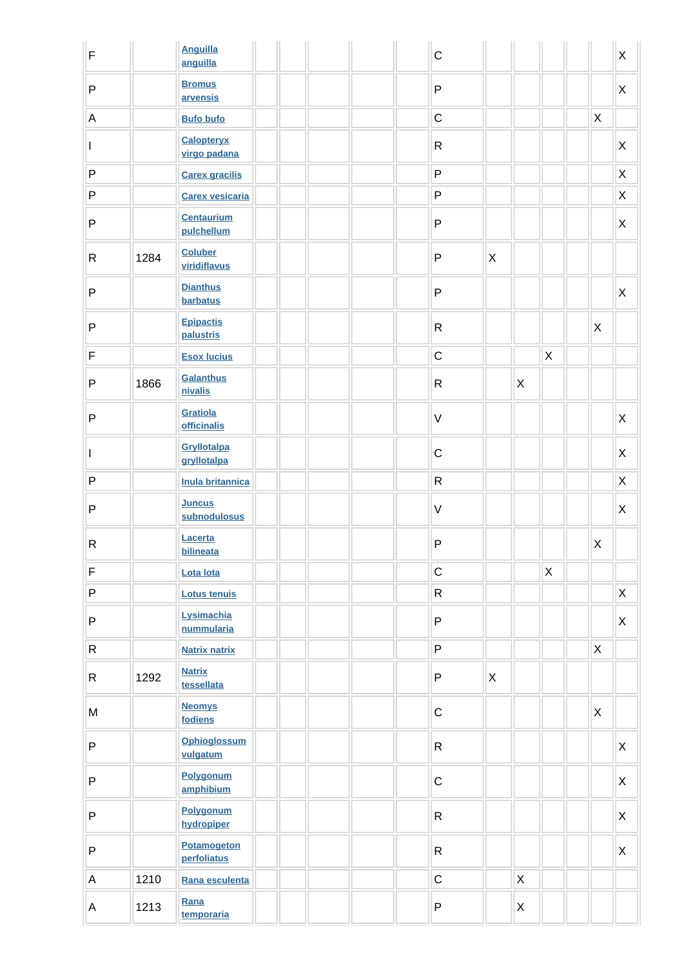| $\mathsf F$  |      | <b>Anguilla</b><br>anguilla       |  |  | $\mathsf{C}$ |              |   |              |              | X              |
|--------------|------|-----------------------------------|--|--|--------------|--------------|---|--------------|--------------|----------------|
| P            |      | <b>Bromus</b><br>arvensis         |  |  | $\mathsf{P}$ |              |   |              |              | X              |
| $\mathsf A$  |      | <b>Bufo bufo</b>                  |  |  | $\mathsf C$  |              |   |              | X            |                |
| L            |      | <b>Calopteryx</b><br>virgo padana |  |  | $\mathsf{R}$ |              |   |              |              | X              |
| $\sf P$      |      | <b>Carex gracilis</b>             |  |  | $\mathsf{P}$ |              |   |              |              | X              |
| P            |      | <b>Carex vesicaria</b>            |  |  | P            |              |   |              |              | $\mathsf X$    |
| $\sf P$      |      | <b>Centaurium</b><br>pulchellum   |  |  | $\mathsf{P}$ |              |   |              |              | $\pmb{\times}$ |
| R            | 1284 | <b>Coluber</b><br>viridiflavus    |  |  | $\mathsf{P}$ | $\mathsf{X}$ |   |              |              |                |
| $\mathsf{P}$ |      | <b>Dianthus</b><br>barbatus       |  |  | $\mathsf{P}$ |              |   |              |              | X              |
| $\sf P$      |      | <b>Epipactis</b><br>palustris     |  |  | $\mathsf{R}$ |              |   |              | X            |                |
| $\mathsf F$  |      | <b>Esox lucius</b>                |  |  | $\mathsf C$  |              |   | $\mathsf X$  |              |                |
| P            | 1866 | <b>Galanthus</b><br>nivalis       |  |  | $\mathsf{R}$ |              | X |              |              |                |
| $\mathsf{P}$ |      | Gratiola<br>officinalis           |  |  | $\vee$       |              |   |              |              | $\pmb{\times}$ |
| $\mathbf{I}$ |      | Gryllotalpa<br>gryllotalpa        |  |  | $\mathsf C$  |              |   |              |              | $\pmb{\times}$ |
| $\sf P$      |      | <b>Inula britannica</b>           |  |  | $\mathsf{R}$ |              |   |              |              | X              |
| P            |      | <b>Juncus</b><br>subnodulosus     |  |  | $\vee$       |              |   |              |              | X              |
| R            |      | Lacerta<br>bilineata              |  |  | $\mathsf{P}$ |              |   | UL.          | $\mathsf{X}$ |                |
| $\mathsf F$  |      | Lota lota                         |  |  | $\mathsf C$  |              |   | $\mathsf{X}$ |              |                |
| P            |      | <b>Lotus tenuis</b>               |  |  | $\mathsf{R}$ |              |   |              |              | $\mathsf X$    |
| ${\sf P}$    |      | Lysimachia<br>nummularia          |  |  | P            |              |   |              |              | $\mathsf{X}$   |
| R            |      | <b>Natrix natrix</b>              |  |  | P            |              |   |              | $\mathsf{X}$ |                |
| R.           | 1292 | <b>Natrix</b><br>tessellata       |  |  | P            | $\mathsf{X}$ |   |              |              |                |
| ${\sf M}$    |      | <b>Neomys</b><br>fodiens          |  |  | $\mathsf C$  |              |   |              | $\mathsf{X}$ |                |
| P            |      | <b>Ophioglossum</b><br>vulgatum   |  |  | $\mathsf{R}$ |              |   |              |              | $\mathsf X$    |
| ${\sf P}$    |      | Polygonum<br>amphibium            |  |  | $\mathsf C$  |              |   |              |              | X              |
| P            |      | Polygonum<br>hydropiper           |  |  | $\mathsf{R}$ |              |   |              |              | $\mathsf{X}$   |
| ${\sf P}$    |      | <b>Potamogeton</b><br>perfoliatus |  |  | $\mathsf{R}$ |              |   |              |              | X              |
| $\mathsf A$  | 1210 | Rana esculenta                    |  |  | $\mathsf C$  |              | X |              |              |                |
| A            | 1213 | Rana<br>temporaria                |  |  | P            |              | X |              |              |                |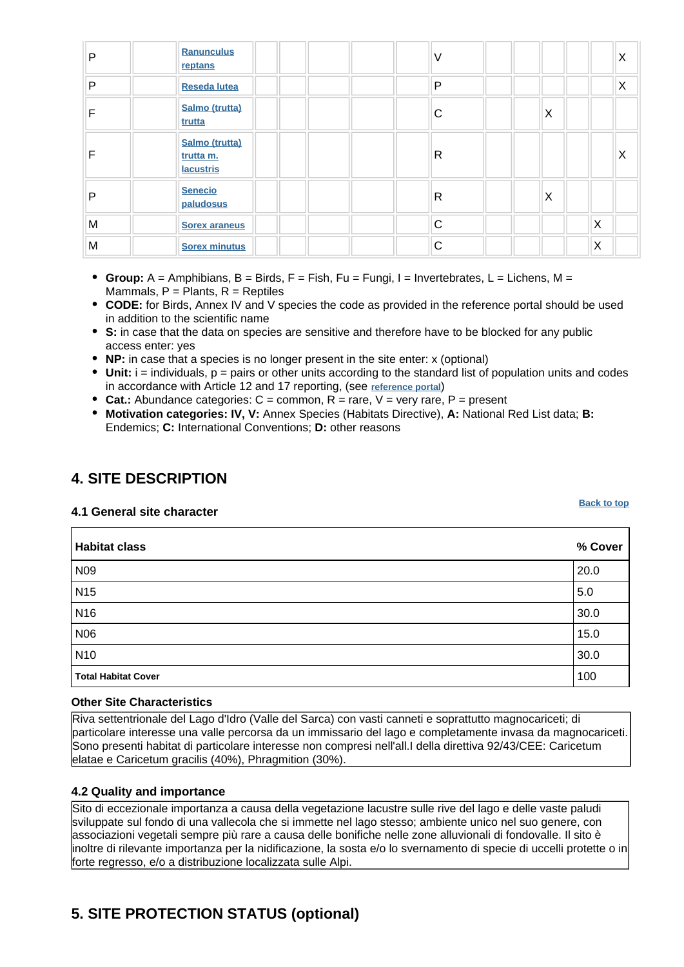| P | Ranunculus<br>reptans                           |  | V |   | X |
|---|-------------------------------------------------|--|---|---|---|
| P | <b>Reseda lutea</b>                             |  | P |   | X |
|   | Salmo (trutta)<br>trutta                        |  | С | X |   |
|   | Salmo (trutta)<br>trutta m.<br><b>lacustris</b> |  | R |   | Χ |
| P | <b>Senecio</b><br>paludosus                     |  | R | X |   |
| M | <b>Sorex araneus</b>                            |  | C |   | X |
| M | <b>Sorex minutus</b>                            |  | C |   | X |

- **Group:** A = Amphibians, B = Birds, F = Fish, Fu = Fungi, I = Invertebrates, L = Lichens, M = Mammals,  $P =$  Plants,  $R =$  Reptiles
- **CODE:** for Birds, Annex IV and V species the code as provided in the reference portal should be used in addition to the scientific name
- **S:** in case that the data on species are sensitive and therefore have to be blocked for any public access enter: yes
- **NP:** in case that a species is no longer present in the site enter: x (optional)
- **Unit:** i = individuals, p = pairs or other units according to the standard list of population units and codes in accordance with Article 12 and 17 reporting, (see **[reference portal](http://bd.eionet.europa.eu/activities/Natura_2000/reference_portal)**)
- Cat.: Abundance categories:  $C =$  common,  $R =$  rare,  $V =$  very rare,  $P =$  present
- **Motivation categories: IV, V:** Annex Species (Habitats Directive), **A:** National Red List data; **B:** Endemics; **C:** International Conventions; **D:** other reasons

# <span id="page-5-0"></span>**4. SITE DESCRIPTION**

#### **4.1 General site character**

**Habitat class % Cover** N09 20.0 N15 5.0 N16 30.0 N06  $15.0$ N10 30.0 **Total Habitat Cover** 2008 **100** 

#### **Other Site Characteristics**

Riva settentrionale del Lago d'Idro (Valle del Sarca) con vasti canneti e soprattutto magnocariceti; di particolare interesse una valle percorsa da un immissario del lago e completamente invasa da magnocariceti. Sono presenti habitat di particolare interesse non compresi nell'all.I della direttiva 92/43/CEE: Caricetum elatae e Caricetum gracilis (40%), Phragmition (30%).

#### **4.2 Quality and importance**

Sito di eccezionale importanza a causa della vegetazione lacustre sulle rive del lago e delle vaste paludi sviluppate sul fondo di una vallecola che si immette nel lago stesso; ambiente unico nel suo genere, con associazioni vegetali sempre più rare a causa delle bonifiche nelle zone alluvionali di fondovalle. Il sito è inoltre di rilevante importanza per la nidificazione, la sosta e/o lo svernamento di specie di uccelli protette o in forte regresso, e/o a distribuzione localizzata sulle Alpi.

# <span id="page-5-1"></span>**5. SITE PROTECTION STATUS (optional)**

**[Back to top](#page-0-0)**